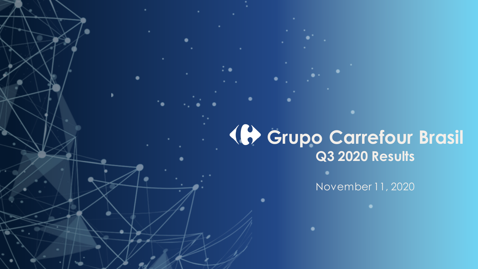# **Grupo Carrefour Brasil Q3 2020 Results**

November 11, 2020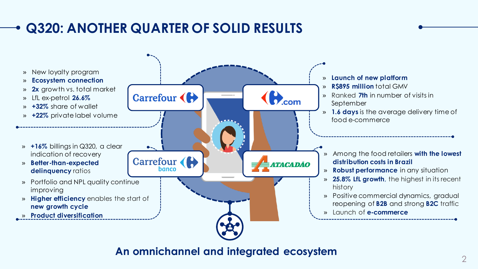### **Q320: ANOTHER QUARTER OF SOLID RESULTS**



**An omnichannel and integrated ecosystem**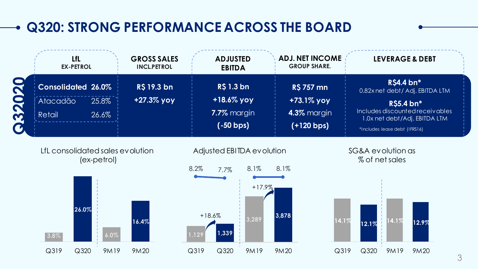## **Q320: STRONG PERFORMANCE ACROSS THE BOARD**

| LfL<br><b>EX-PETROL</b>         |                | <b>GROSS SALES</b><br><b>INCL.PETROL</b> | <b>ADJUSTED</b><br><b>EBITDA</b> | <b>ADJ. NET INCOME</b><br><b>GROUP SHARE.</b> | <b>LEVERAGE &amp; DEBT</b>                                                     |
|---------------------------------|----------------|------------------------------------------|----------------------------------|-----------------------------------------------|--------------------------------------------------------------------------------|
| <b>Consolidated 26.0%</b>       |                | R\$ 19.3 bn                              | <b>R\$ 1.3 bn</b>                | <b>R\$ 757 mn</b>                             | <b>R\$4.4</b> bn*<br>0.82x net debt / Adj. EBITDA LTM                          |
| Atacadão<br>Retail <sup>1</sup> | 25.8%<br>26.6% | +27.3% yoy                               | $+18.6\%$ yoy<br>7.7% margin     | +73.1% yoy<br>4.3% margin                     | R\$5.4 bn*<br>Includes discounted receivables<br>1.0x net debt/Adj. EBITDA LTM |
|                                 |                |                                          | $(-50 bps)$                      | $( +120$ bps)                                 | *Includes lease debt (IFRS16)                                                  |

LfL consolidated sales evolution (ex-petrol)





SG&A evolution as % of net sales

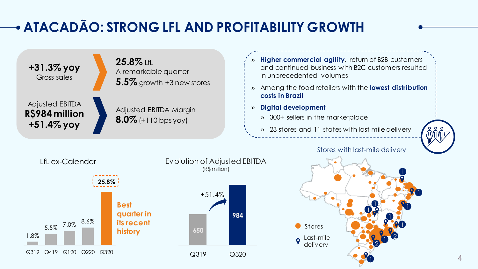# **ATACADÃO: STRONG LFL AND PROFITABILITY GROWTH**

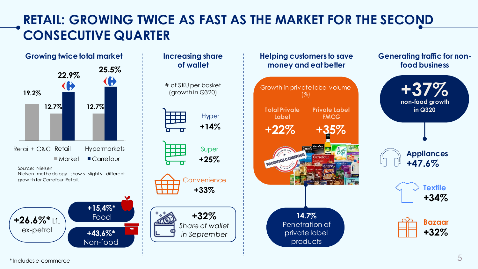#### **RETAIL: GROWING TWICE AS FAST AS THE MARKET FOR THE SECOND CONSECUTIVE QUARTER**





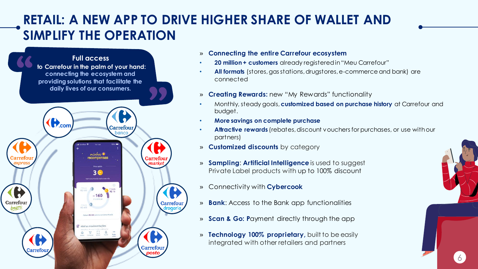#### **RETAIL: A NEW APP TO DRIVE HIGHER SHARE OF WALLET AND SIMPLIFY THE OPERATION**

#### **Full access to Carrefour in the palm of your hand: connecting the ecosystem and providing solutions that facilitate the daily lives of our consumers.** $\left(\bigoplus_{\text{com}}\right)$ Carrefou minhas narke  $3<sup>o</sup>$ ≈160 Carrefour Carrefour drogari

Carrefou

Carrefour

- » **Connecting the entire Carrefour ecosystem**
- **20 million + customers** already registered in "Meu Carrefour"
- **All formats** (stores, gas stations, drugstores, e-commerce and bank) are connected
- » **Creating Rewards:** new "My Rewards" functionality
- Monthly, steady goals, **customized based on purchase history** at Carrefour and budget.
- **More savings on complete purchase**
- **Attractive rewards** (rebates, discount vouchers for purchases, or use with our partners)

 $\overline{6}$ 

- » **Customized discounts** by category
- » **Sampling**: **Artificial Intelligence** is used to suggest Private Label products with up to 100% discount
- » Connectivity with **Cybercook**
- » **Bank**: Access to the Bank app functionalities
- » **Scan & Go: P**ayment directly through the app
- » **Technology 100% proprietary,** built to be easily integrated with other retailers and partners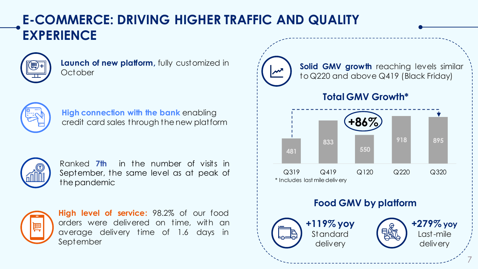#### **E-COMMERCE: DRIVING HIGHER TRAFFIC AND QUALITY EXPERIENCE**



**Launch of new platform,** fully customized in October



**High connection with the bank** enabling credit card sales through the new platform



Ranked **7th** in the number of visits in September, the same level as at peak of thepandemic



**High level of service:** 98.2% of our food orders were delivered on time, with an average delivery time of 1.6 days in September

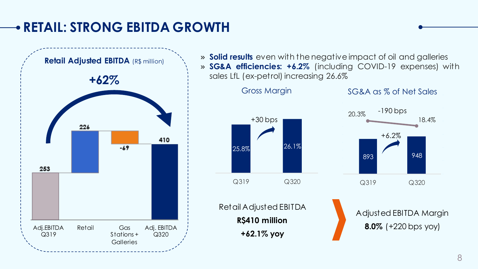#### **RETAIL: STRONG EBITDA GROWTH**



» **Solid results** even with the negative impact of oil and galleries » **SG&A efficiencies: +6.2%** (including COVID-19 expenses) with sales LfL (ex-petrol) increasing 26.6%

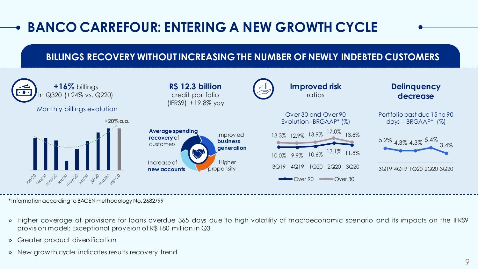## **BANCO CARREFOUR: ENTERING A NEW GROWTH CYCLE**

#### **BILLINGS RECOVERY WITHOUT INCREASING THE NUMBER OF NEWLY INDEBTED CUSTOMERS**



\*Information according to BACEN methodology No. 2682/99

- » Higher coverage of provisions for loans overdue 365 days due to high volatility of macroeconomic scenario and its impacts on the IFRS9 provision model: Exceptional provision of R\$ 180 million in Q3
- » Greater product diversification
- » New growth cycle indicates results recovery trend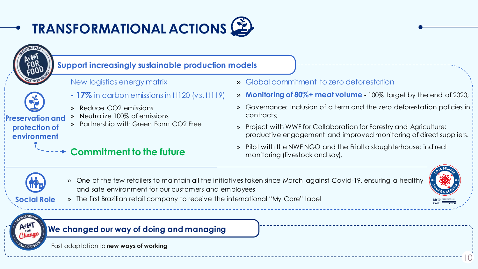

#### **Support increasingly sustainable production models**

New logistics energy matrix



**environment**

- **- 17%** in carbon emissions in H120 (vs. H119)
- » Reduce CO2 emissions
- » Neutralize 100% of emissions » Partnership with Green Farm CO2 Free **Preservation and protection of** 
	- **Commitment to the future**
- » Global commitment to zero deforestation
- » **Monitoring of 80%+ meat volume**  100% target by the end of 2020;
- » Governance: Inclusion of a term and the zero deforestation policies in contracts;
- » Project with WWF for Collaboration for Forestry and Agriculture: productive engagement and improved monitoring of direct suppliers.
- » Pilot with the NWF NGO and the Frialto slaughterhouse: indirect monitoring (livestock and soy).



» One of the few retailers to maintain all the initiatives taken since March against Covid-19, ensuring a healthy and safe environment for our customers and employees



 $10$ 

- **Social Role**
- » The first Brazilian retail company to receive the international "My Care" label

#### **We changed our way of doing and managing**

Fast adaptationto **new ways of working**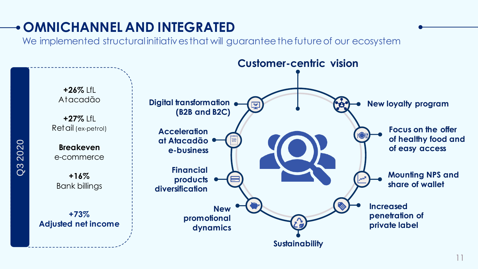## **OMNICHANNEL AND INTEGRATED**

We implemented structural initiatives that will guarantee the future of our ecosystem